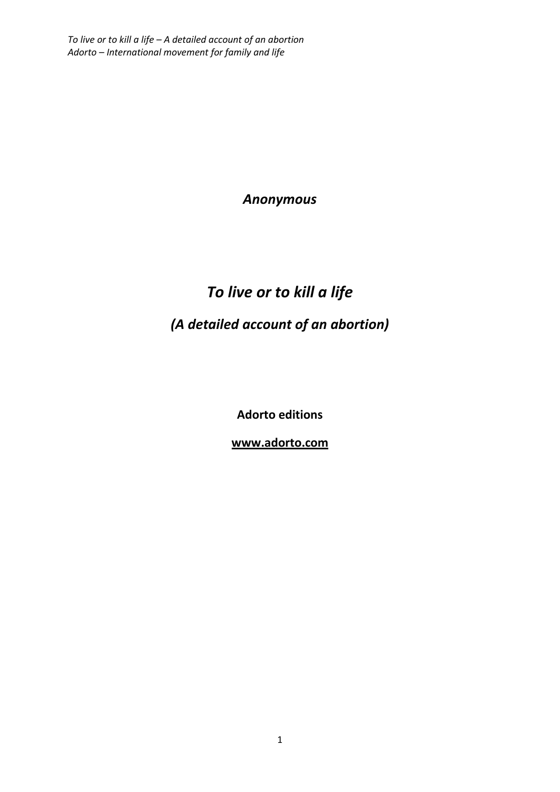*Anonymous* 

## *To live or to kill a life (A detailed account of an abortion)*

**Adorto editions** 

**www.adorto.com**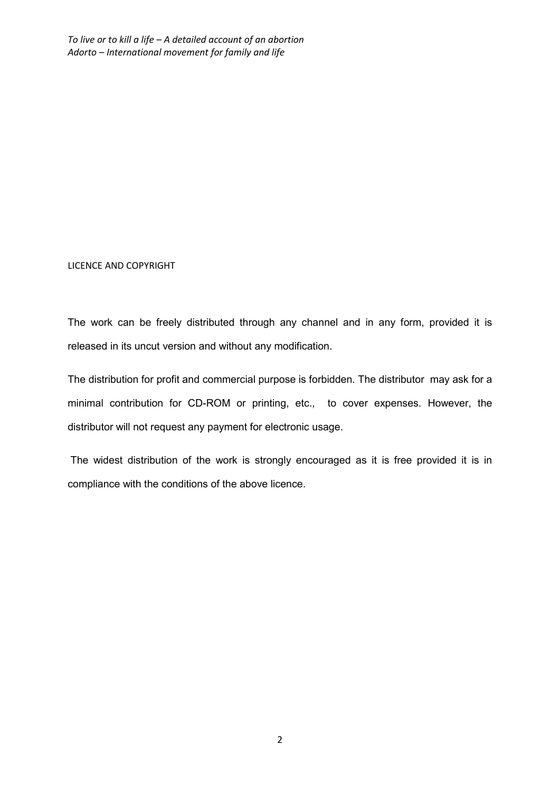LICENCE AND COPYRIGHT

The work can be freely distributed through any channel and in any form, provided it is released in its uncut version and without any modification.

The distribution for profit and commercial purpose is forbidden. The distributor may ask for a minimal contribution for CD-ROM or printing, etc., to cover expenses. However, the distributor will not request any payment for electronic usage.

 The widest distribution of the work is strongly encouraged as it is free provided it is in compliance with the conditions of the above licence.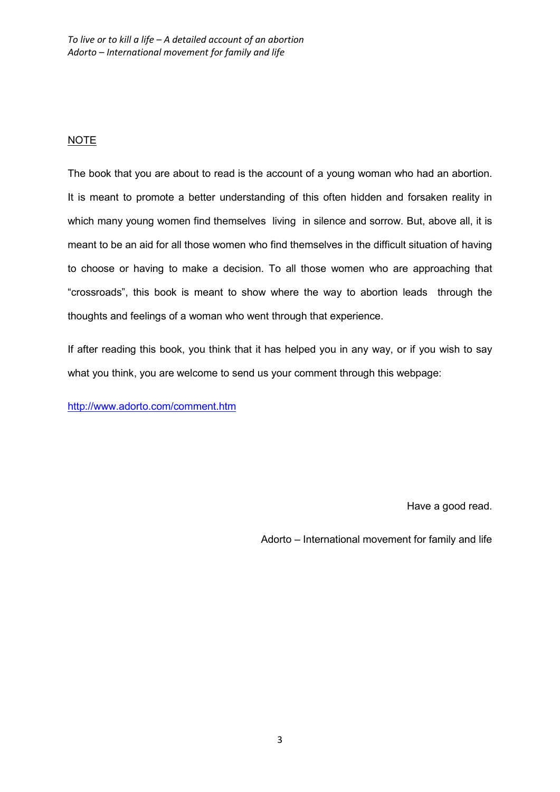## NOTE

The book that you are about to read is the account of a young woman who had an abortion. It is meant to promote a better understanding of this often hidden and forsaken reality in which many young women find themselves living in silence and sorrow. But, above all, it is meant to be an aid for all those women who find themselves in the difficult situation of having to choose or having to make a decision. To all those women who are approaching that "crossroads", this book is meant to show where the way to abortion leads through the thoughts and feelings of a woman who went through that experience.

If after reading this book, you think that it has helped you in any way, or if you wish to say what you think, you are welcome to send us your comment through this webpage:

http://www.adorto.com/comment.htm

Have a good read.

Adorto – International movement for family and life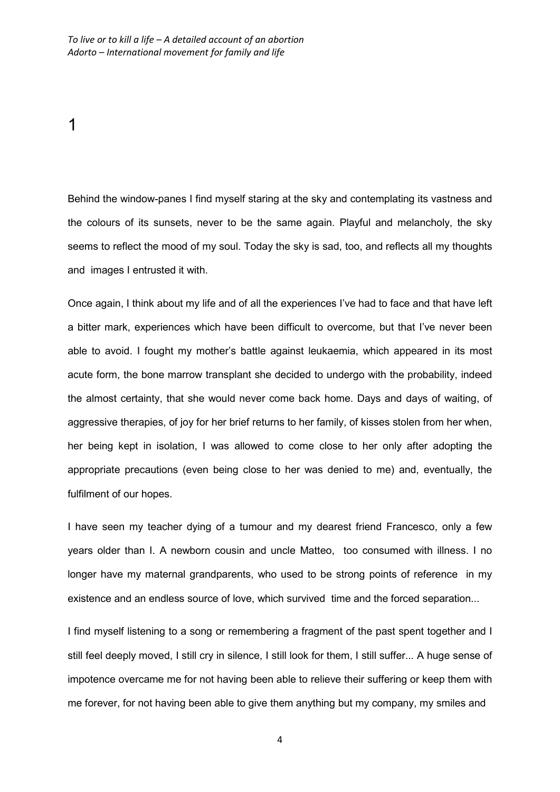1

Behind the window-panes I find myself staring at the sky and contemplating its vastness and the colours of its sunsets, never to be the same again. Playful and melancholy, the sky seems to reflect the mood of my soul. Today the sky is sad, too, and reflects all my thoughts and images I entrusted it with.

Once again, I think about my life and of all the experiences I've had to face and that have left a bitter mark, experiences which have been difficult to overcome, but that I've never been able to avoid. I fought my mother's battle against leukaemia, which appeared in its most acute form, the bone marrow transplant she decided to undergo with the probability, indeed the almost certainty, that she would never come back home. Days and days of waiting, of aggressive therapies, of joy for her brief returns to her family, of kisses stolen from her when, her being kept in isolation, I was allowed to come close to her only after adopting the appropriate precautions (even being close to her was denied to me) and, eventually, the fulfilment of our hopes.

I have seen my teacher dying of a tumour and my dearest friend Francesco, only a few years older than I. A newborn cousin and uncle Matteo, too consumed with illness. I no longer have my maternal grandparents, who used to be strong points of reference in my existence and an endless source of love, which survived time and the forced separation...

I find myself listening to a song or remembering a fragment of the past spent together and I still feel deeply moved, I still cry in silence, I still look for them, I still suffer... A huge sense of impotence overcame me for not having been able to relieve their suffering or keep them with me forever, for not having been able to give them anything but my company, my smiles and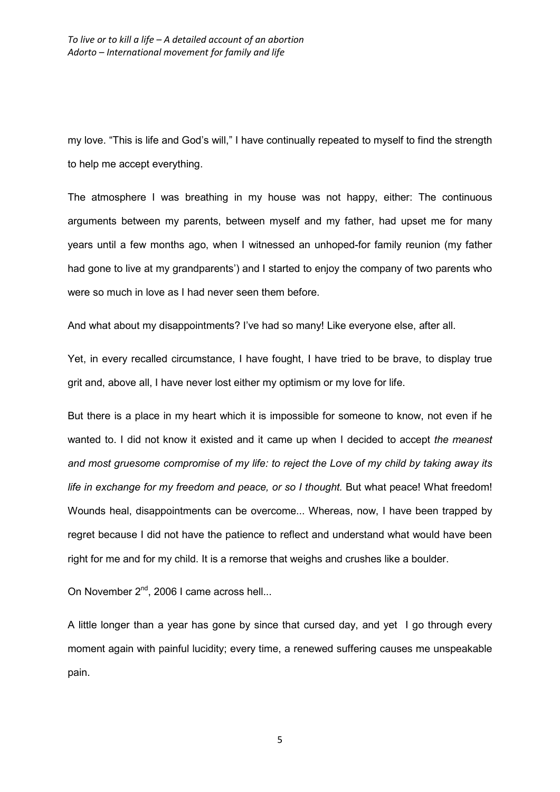my love. "This is life and God's will," I have continually repeated to myself to find the strength to help me accept everything.

The atmosphere I was breathing in my house was not happy, either: The continuous arguments between my parents, between myself and my father, had upset me for many years until a few months ago, when I witnessed an unhoped-for family reunion (my father had gone to live at my grandparents') and I started to enjoy the company of two parents who were so much in love as I had never seen them before.

And what about my disappointments? I've had so many! Like everyone else, after all.

Yet, in every recalled circumstance, I have fought, I have tried to be brave, to display true grit and, above all, I have never lost either my optimism or my love for life.

But there is a place in my heart which it is impossible for someone to know, not even if he wanted to. I did not know it existed and it came up when I decided to accept *the meanest and most gruesome compromise of my life: to reject the Love of my child by taking away its*  life in exchange for my freedom and peace, or so I thought. But what peace! What freedom! Wounds heal, disappointments can be overcome... Whereas, now, I have been trapped by regret because I did not have the patience to reflect and understand what would have been right for me and for my child. It is a remorse that weighs and crushes like a boulder.

On November  $2^{nd}$ , 2006 I came across hell...

A little longer than a year has gone by since that cursed day, and yet I go through every moment again with painful lucidity; every time, a renewed suffering causes me unspeakable pain.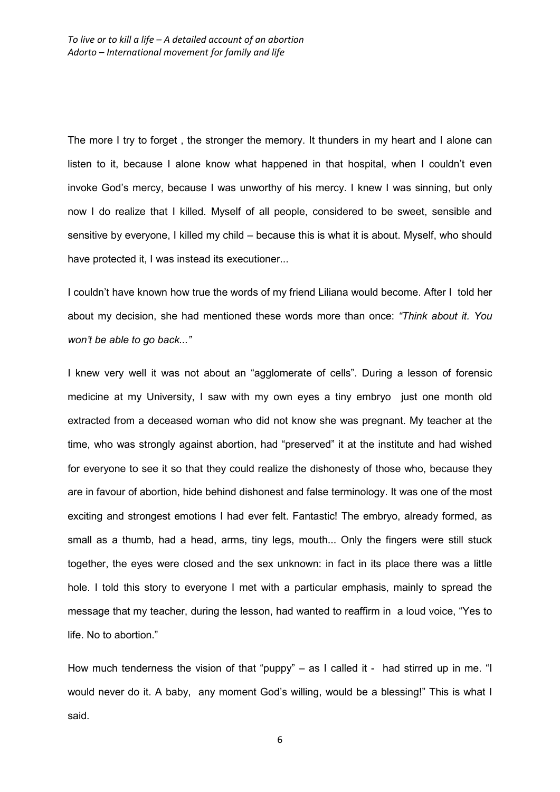The more I try to forget , the stronger the memory. It thunders in my heart and I alone can listen to it, because I alone know what happened in that hospital, when I couldn't even invoke God's mercy, because I was unworthy of his mercy. I knew I was sinning, but only now I do realize that I killed. Myself of all people, considered to be sweet, sensible and sensitive by everyone, I killed my child – because this is what it is about. Myself, who should have protected it, I was instead its executioner...

I couldn't have known how true the words of my friend Liliana would become. After I told her about my decision, she had mentioned these words more than once: *"Think about it. You won't be able to go back..."* 

I knew very well it was not about an "agglomerate of cells". During a lesson of forensic medicine at my University, I saw with my own eyes a tiny embryo just one month old extracted from a deceased woman who did not know she was pregnant. My teacher at the time, who was strongly against abortion, had "preserved" it at the institute and had wished for everyone to see it so that they could realize the dishonesty of those who, because they are in favour of abortion, hide behind dishonest and false terminology. It was one of the most exciting and strongest emotions I had ever felt. Fantastic! The embryo, already formed, as small as a thumb, had a head, arms, tiny legs, mouth... Only the fingers were still stuck together, the eyes were closed and the sex unknown: in fact in its place there was a little hole. I told this story to everyone I met with a particular emphasis, mainly to spread the message that my teacher, during the lesson, had wanted to reaffirm in a loud voice, "Yes to life. No to abortion."

How much tenderness the vision of that "puppy" – as I called it - had stirred up in me. "I would never do it. A baby, any moment God's willing, would be a blessing!" This is what I said.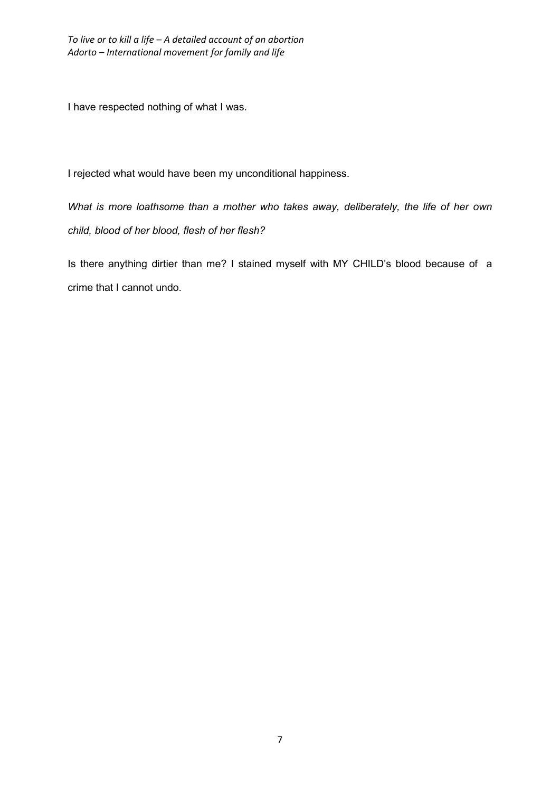I have respected nothing of what I was.

I rejected what would have been my unconditional happiness.

*What is more loathsome than a mother who takes away, deliberately, the life of her own child, blood of her blood, flesh of her flesh?* 

Is there anything dirtier than me? I stained myself with MY CHILD's blood because of a crime that I cannot undo.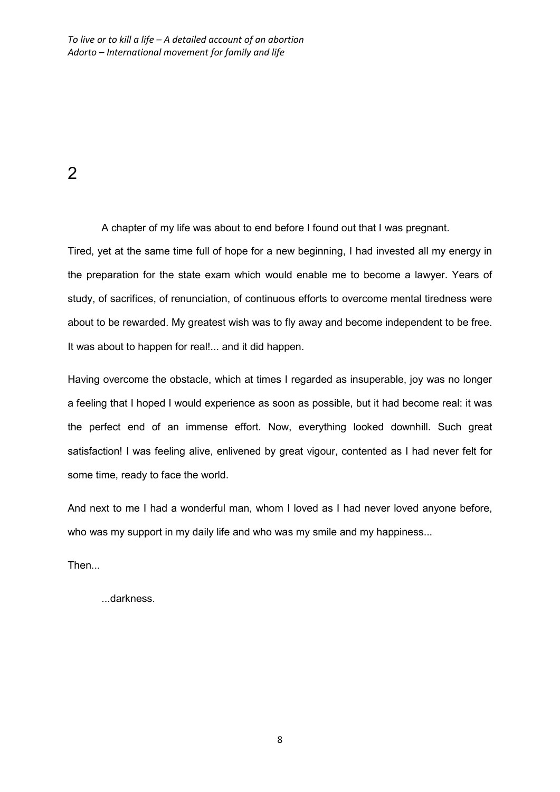2

A chapter of my life was about to end before I found out that I was pregnant.

Tired, yet at the same time full of hope for a new beginning, I had invested all my energy in the preparation for the state exam which would enable me to become a lawyer. Years of study, of sacrifices, of renunciation, of continuous efforts to overcome mental tiredness were about to be rewarded. My greatest wish was to fly away and become independent to be free. It was about to happen for real!... and it did happen.

Having overcome the obstacle, which at times I regarded as insuperable, joy was no longer a feeling that I hoped I would experience as soon as possible, but it had become real: it was the perfect end of an immense effort. Now, everything looked downhill. Such great satisfaction! I was feeling alive, enlivened by great vigour, contented as I had never felt for some time, ready to face the world.

And next to me I had a wonderful man, whom I loved as I had never loved anyone before, who was my support in my daily life and who was my smile and my happiness...

Then...

...darkness.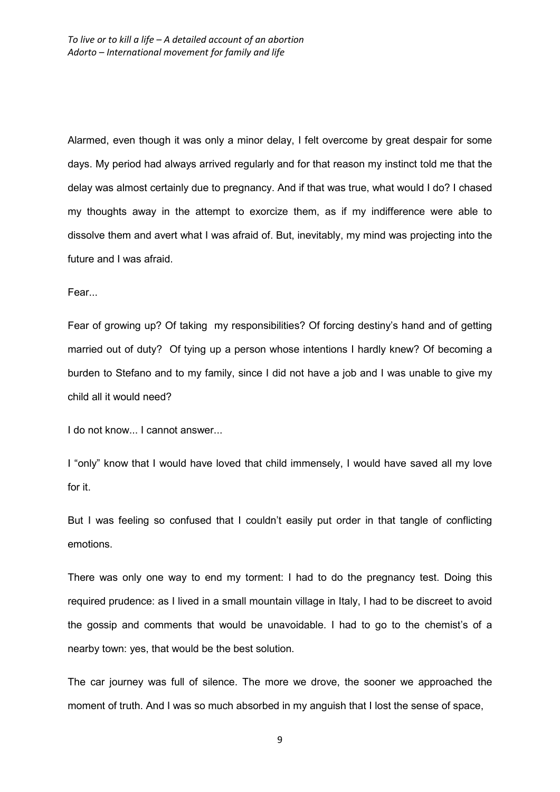Alarmed, even though it was only a minor delay, I felt overcome by great despair for some days. My period had always arrived regularly and for that reason my instinct told me that the delay was almost certainly due to pregnancy. And if that was true, what would I do? I chased my thoughts away in the attempt to exorcize them, as if my indifference were able to dissolve them and avert what I was afraid of. But, inevitably, my mind was projecting into the future and I was afraid.

Fear...

Fear of growing up? Of taking my responsibilities? Of forcing destiny's hand and of getting married out of duty? Of tying up a person whose intentions I hardly knew? Of becoming a burden to Stefano and to my family, since I did not have a job and I was unable to give my child all it would need?

I do not know... I cannot answer...

I "only" know that I would have loved that child immensely, I would have saved all my love for it.

But I was feeling so confused that I couldn't easily put order in that tangle of conflicting emotions.

There was only one way to end my torment: I had to do the pregnancy test. Doing this required prudence: as I lived in a small mountain village in Italy, I had to be discreet to avoid the gossip and comments that would be unavoidable. I had to go to the chemist's of a nearby town: yes, that would be the best solution.

The car journey was full of silence. The more we drove, the sooner we approached the moment of truth. And I was so much absorbed in my anguish that I lost the sense of space,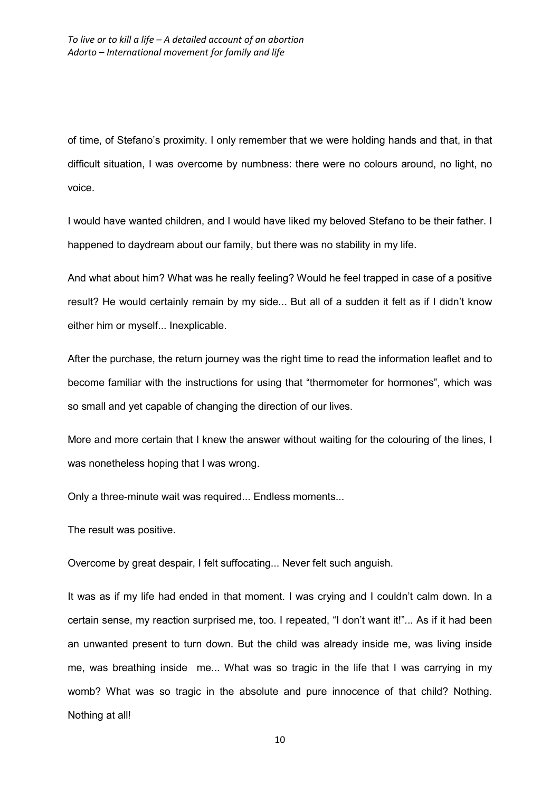of time, of Stefano's proximity. I only remember that we were holding hands and that, in that difficult situation, I was overcome by numbness: there were no colours around, no light, no voice.

I would have wanted children, and I would have liked my beloved Stefano to be their father. I happened to daydream about our family, but there was no stability in my life.

And what about him? What was he really feeling? Would he feel trapped in case of a positive result? He would certainly remain by my side... But all of a sudden it felt as if I didn't know either him or myself... Inexplicable.

After the purchase, the return journey was the right time to read the information leaflet and to become familiar with the instructions for using that "thermometer for hormones", which was so small and yet capable of changing the direction of our lives.

More and more certain that I knew the answer without waiting for the colouring of the lines, I was nonetheless hoping that I was wrong.

Only a three-minute wait was required... Endless moments...

The result was positive.

Overcome by great despair, I felt suffocating... Never felt such anguish.

It was as if my life had ended in that moment. I was crying and I couldn't calm down. In a certain sense, my reaction surprised me, too. I repeated, "I don't want it!"... As if it had been an unwanted present to turn down. But the child was already inside me, was living inside me, was breathing inside me... What was so tragic in the life that I was carrying in my womb? What was so tragic in the absolute and pure innocence of that child? Nothing. Nothing at all!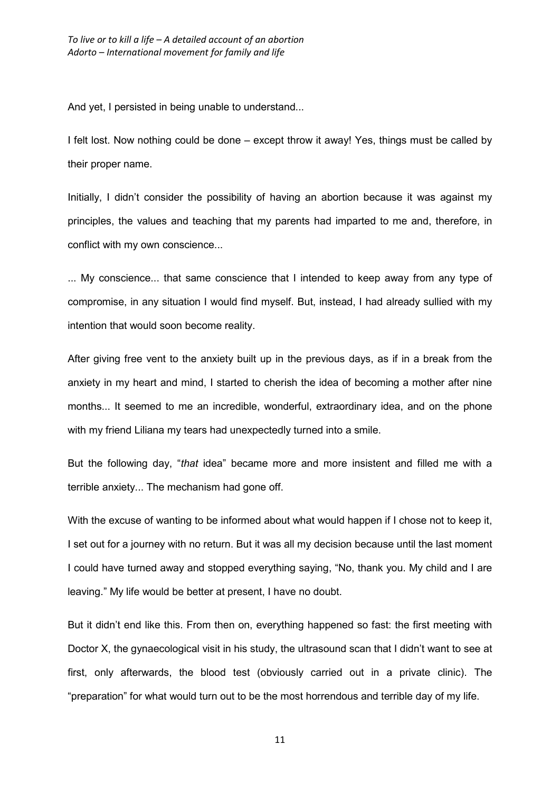And yet, I persisted in being unable to understand...

I felt lost. Now nothing could be done – except throw it away! Yes, things must be called by their proper name.

Initially, I didn't consider the possibility of having an abortion because it was against my principles, the values and teaching that my parents had imparted to me and, therefore, in conflict with my own conscience...

... My conscience... that same conscience that I intended to keep away from any type of compromise, in any situation I would find myself. But, instead, I had already sullied with my intention that would soon become reality.

After giving free vent to the anxiety built up in the previous days, as if in a break from the anxiety in my heart and mind, I started to cherish the idea of becoming a mother after nine months... It seemed to me an incredible, wonderful, extraordinary idea, and on the phone with my friend Liliana my tears had unexpectedly turned into a smile.

But the following day, "*that* idea" became more and more insistent and filled me with a terrible anxiety... The mechanism had gone off.

With the excuse of wanting to be informed about what would happen if I chose not to keep it, I set out for a journey with no return. But it was all my decision because until the last moment I could have turned away and stopped everything saying, "No, thank you. My child and I are leaving." My life would be better at present, I have no doubt.

But it didn't end like this. From then on, everything happened so fast: the first meeting with Doctor X, the gynaecological visit in his study, the ultrasound scan that I didn't want to see at first, only afterwards, the blood test (obviously carried out in a private clinic). The "preparation" for what would turn out to be the most horrendous and terrible day of my life.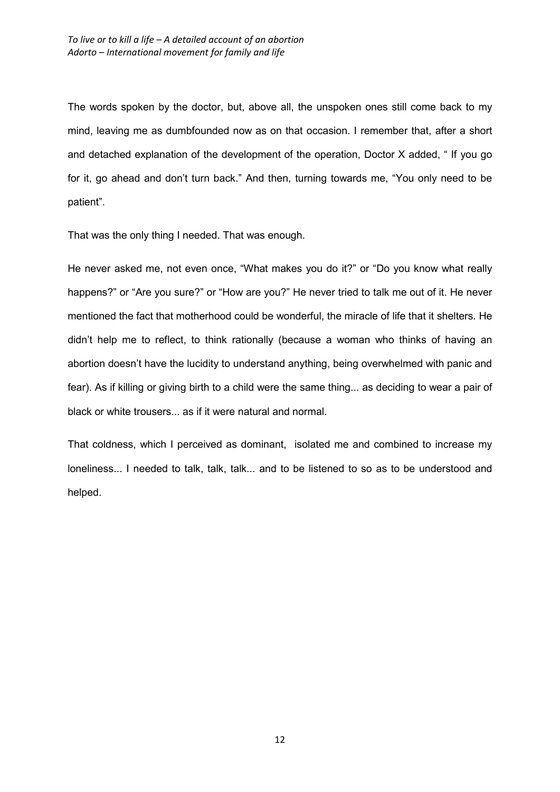The words spoken by the doctor, but, above all, the unspoken ones still come back to my mind, leaving me as dumbfounded now as on that occasion. I remember that, after a short and detached explanation of the development of the operation, Doctor X added, " If you go for it, go ahead and don't turn back." And then, turning towards me, "You only need to be patient".

That was the only thing I needed. That was enough.

He never asked me, not even once, "What makes you do it?" or "Do you know what really happens?" or "Are you sure?" or "How are you?" He never tried to talk me out of it. He never mentioned the fact that motherhood could be wonderful, the miracle of life that it shelters. He didn't help me to reflect, to think rationally (because a woman who thinks of having an abortion doesn't have the lucidity to understand anything, being overwhelmed with panic and fear). As if killing or giving birth to a child were the same thing... as deciding to wear a pair of black or white trousers... as if it were natural and normal.

That coldness, which I perceived as dominant, isolated me and combined to increase my loneliness... I needed to talk, talk, talk... and to be listened to so as to be understood and helped.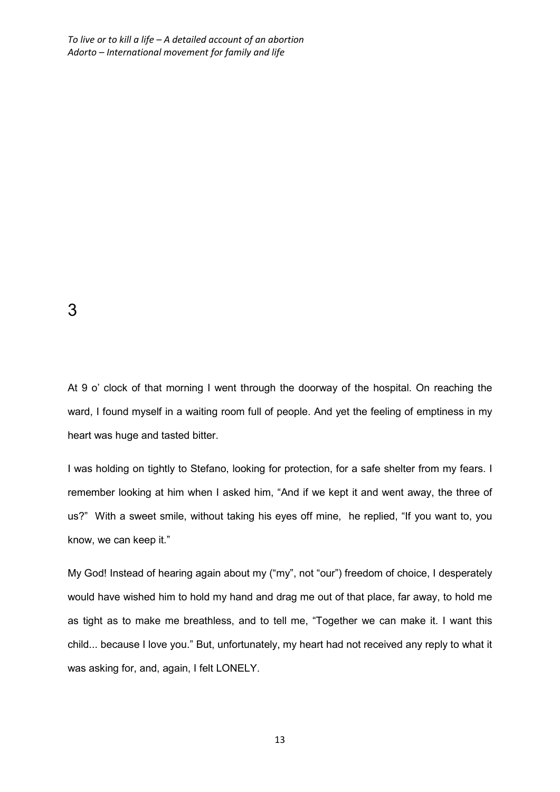3

At 9 o' clock of that morning I went through the doorway of the hospital. On reaching the ward, I found myself in a waiting room full of people. And yet the feeling of emptiness in my heart was huge and tasted bitter.

I was holding on tightly to Stefano, looking for protection, for a safe shelter from my fears. I remember looking at him when I asked him, "And if we kept it and went away, the three of us?" With a sweet smile, without taking his eyes off mine, he replied, "If you want to, you know, we can keep it."

My God! Instead of hearing again about my ("my", not "our") freedom of choice, I desperately would have wished him to hold my hand and drag me out of that place, far away, to hold me as tight as to make me breathless, and to tell me, "Together we can make it. I want this child... because I love you." But, unfortunately, my heart had not received any reply to what it was asking for, and, again, I felt LONELY.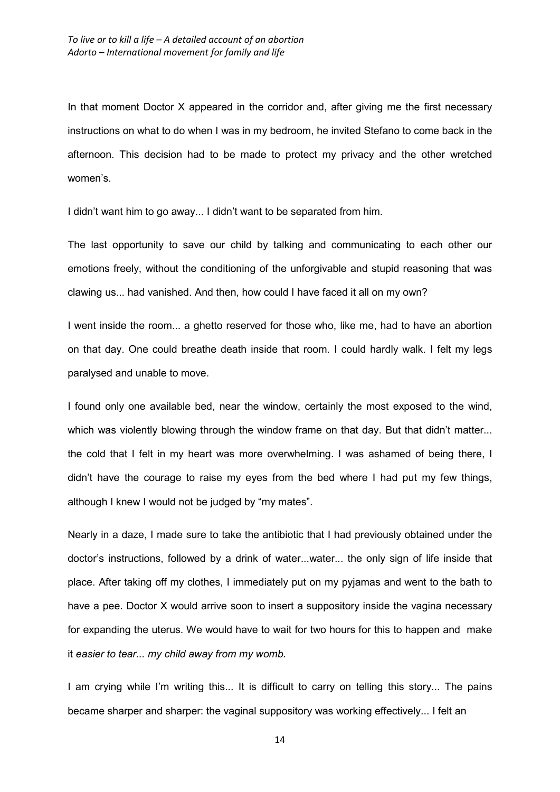In that moment Doctor X appeared in the corridor and, after giving me the first necessary instructions on what to do when I was in my bedroom, he invited Stefano to come back in the afternoon. This decision had to be made to protect my privacy and the other wretched women's.

I didn't want him to go away... I didn't want to be separated from him.

The last opportunity to save our child by talking and communicating to each other our emotions freely, without the conditioning of the unforgivable and stupid reasoning that was clawing us... had vanished. And then, how could I have faced it all on my own?

I went inside the room... a ghetto reserved for those who, like me, had to have an abortion on that day. One could breathe death inside that room. I could hardly walk. I felt my legs paralysed and unable to move.

I found only one available bed, near the window, certainly the most exposed to the wind, which was violently blowing through the window frame on that day. But that didn't matter... the cold that I felt in my heart was more overwhelming. I was ashamed of being there, I didn't have the courage to raise my eyes from the bed where I had put my few things, although I knew I would not be judged by "my mates".

Nearly in a daze, I made sure to take the antibiotic that I had previously obtained under the doctor's instructions, followed by a drink of water...water... the only sign of life inside that place. After taking off my clothes, I immediately put on my pyjamas and went to the bath to have a pee. Doctor X would arrive soon to insert a suppository inside the vagina necessary for expanding the uterus. We would have to wait for two hours for this to happen and make it *easier to tear... my child away from my womb.* 

I am crying while I'm writing this... It is difficult to carry on telling this story... The pains became sharper and sharper: the vaginal suppository was working effectively... I felt an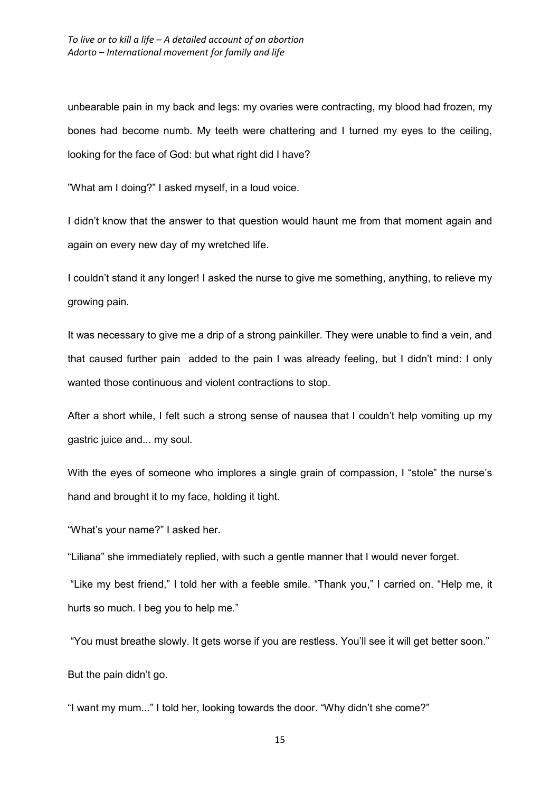unbearable pain in my back and legs: my ovaries were contracting, my blood had frozen, my bones had become numb. My teeth were chattering and I turned my eyes to the ceiling, looking for the face of God: but what right did I have?

"What am I doing?" I asked myself, in a loud voice.

I didn't know that the answer to that question would haunt me from that moment again and again on every new day of my wretched life.

I couldn't stand it any longer! I asked the nurse to give me something, anything, to relieve my growing pain.

It was necessary to give me a drip of a strong painkiller. They were unable to find a vein, and that caused further pain added to the pain I was already feeling, but I didn't mind: I only wanted those continuous and violent contractions to stop.

After a short while, I felt such a strong sense of nausea that I couldn't help vomiting up my gastric juice and... my soul.

With the eyes of someone who implores a single grain of compassion, I "stole" the nurse's hand and brought it to my face, holding it tight.

"What's your name?" I asked her.

"Liliana" she immediately replied, with such a gentle manner that I would never forget.

 "Like my best friend," I told her with a feeble smile. "Thank you," I carried on. "Help me, it hurts so much. I beg you to help me."

"You must breathe slowly. It gets worse if you are restless. You'll see it will get better soon."

But the pain didn't go.

"I want my mum..." I told her, looking towards the door. "Why didn't she come?"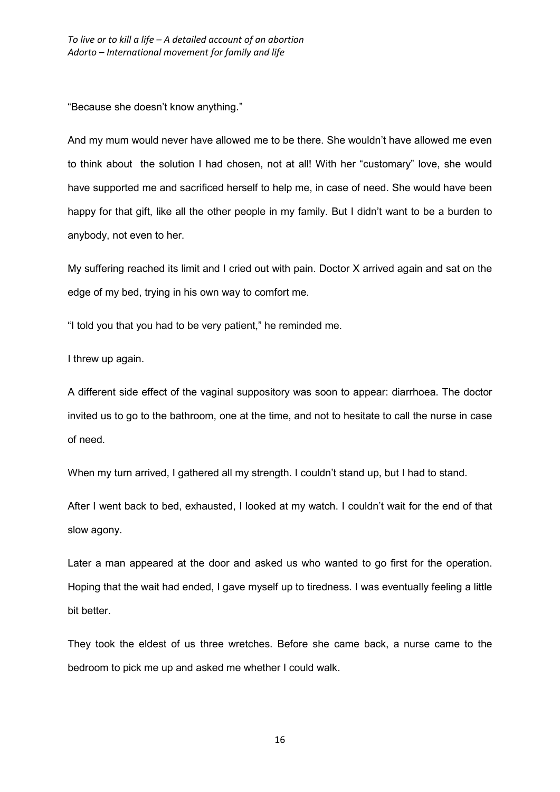"Because she doesn't know anything."

And my mum would never have allowed me to be there. She wouldn't have allowed me even to think about the solution I had chosen, not at all! With her "customary" love, she would have supported me and sacrificed herself to help me, in case of need. She would have been happy for that gift, like all the other people in my family. But I didn't want to be a burden to anybody, not even to her.

My suffering reached its limit and I cried out with pain. Doctor X arrived again and sat on the edge of my bed, trying in his own way to comfort me.

"I told you that you had to be very patient," he reminded me.

I threw up again.

A different side effect of the vaginal suppository was soon to appear: diarrhoea. The doctor invited us to go to the bathroom, one at the time, and not to hesitate to call the nurse in case of need.

When my turn arrived, I gathered all my strength. I couldn't stand up, but I had to stand.

After I went back to bed, exhausted, I looked at my watch. I couldn't wait for the end of that slow agony.

Later a man appeared at the door and asked us who wanted to go first for the operation. Hoping that the wait had ended, I gave myself up to tiredness. I was eventually feeling a little bit better.

They took the eldest of us three wretches. Before she came back, a nurse came to the bedroom to pick me up and asked me whether I could walk.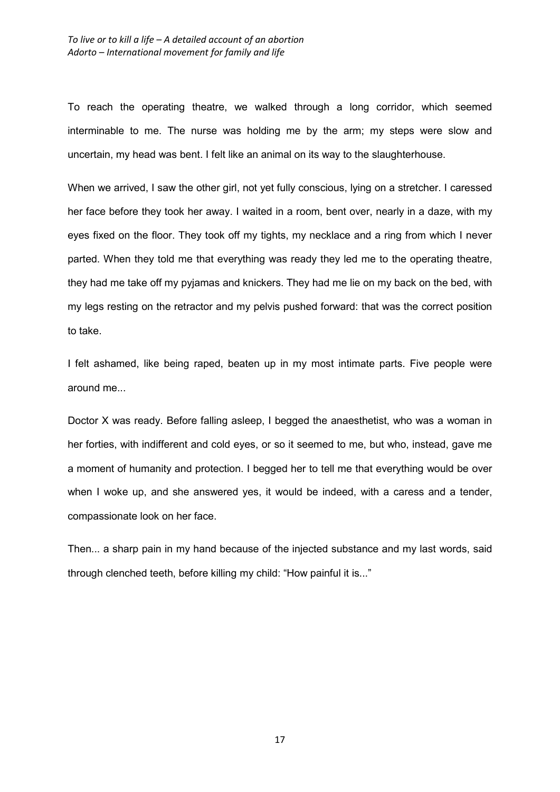To reach the operating theatre, we walked through a long corridor, which seemed interminable to me. The nurse was holding me by the arm; my steps were slow and uncertain, my head was bent. I felt like an animal on its way to the slaughterhouse.

When we arrived, I saw the other girl, not yet fully conscious, lying on a stretcher. I caressed her face before they took her away. I waited in a room, bent over, nearly in a daze, with my eyes fixed on the floor. They took off my tights, my necklace and a ring from which I never parted. When they told me that everything was ready they led me to the operating theatre, they had me take off my pyjamas and knickers. They had me lie on my back on the bed, with my legs resting on the retractor and my pelvis pushed forward: that was the correct position to take.

I felt ashamed, like being raped, beaten up in my most intimate parts. Five people were around me...

Doctor X was ready. Before falling asleep, I begged the anaesthetist, who was a woman in her forties, with indifferent and cold eyes, or so it seemed to me, but who, instead, gave me a moment of humanity and protection. I begged her to tell me that everything would be over when I woke up, and she answered yes, it would be indeed, with a caress and a tender, compassionate look on her face.

Then... a sharp pain in my hand because of the injected substance and my last words, said through clenched teeth, before killing my child: "How painful it is..."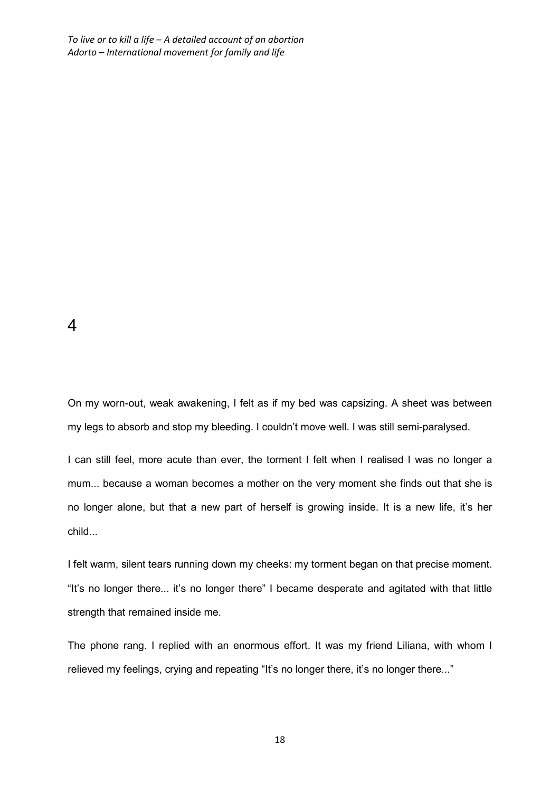4

On my worn-out, weak awakening, I felt as if my bed was capsizing. A sheet was between my legs to absorb and stop my bleeding. I couldn't move well. I was still semi-paralysed.

I can still feel, more acute than ever, the torment I felt when I realised I was no longer a mum... because a woman becomes a mother on the very moment she finds out that she is no longer alone, but that a new part of herself is growing inside. It is a new life, it's her child...

I felt warm, silent tears running down my cheeks: my torment began on that precise moment. "It's no longer there... it's no longer there" I became desperate and agitated with that little strength that remained inside me.

The phone rang. I replied with an enormous effort. It was my friend Liliana, with whom I relieved my feelings, crying and repeating "It's no longer there, it's no longer there..."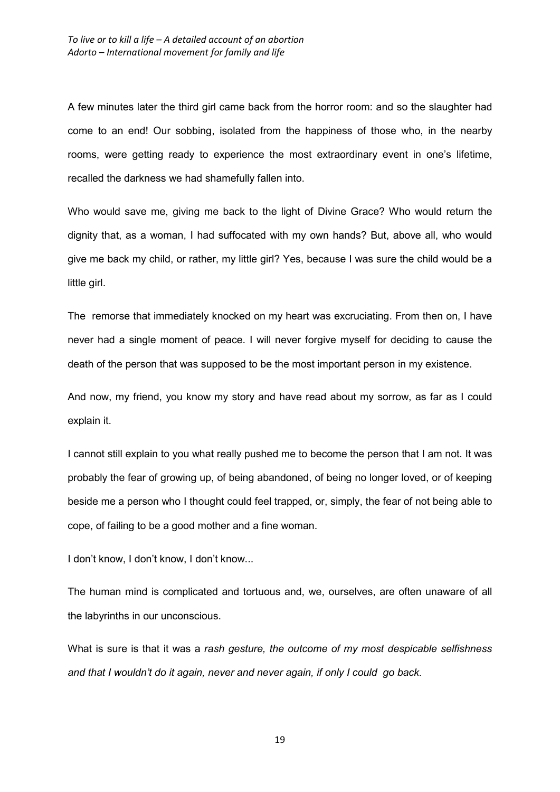A few minutes later the third girl came back from the horror room: and so the slaughter had come to an end! Our sobbing, isolated from the happiness of those who, in the nearby rooms, were getting ready to experience the most extraordinary event in one's lifetime, recalled the darkness we had shamefully fallen into.

Who would save me, giving me back to the light of Divine Grace? Who would return the dignity that, as a woman, I had suffocated with my own hands? But, above all, who would give me back my child, or rather, my little girl? Yes, because I was sure the child would be a little girl.

The remorse that immediately knocked on my heart was excruciating. From then on, I have never had a single moment of peace. I will never forgive myself for deciding to cause the death of the person that was supposed to be the most important person in my existence.

And now, my friend, you know my story and have read about my sorrow, as far as I could explain it.

I cannot still explain to you what really pushed me to become the person that I am not. It was probably the fear of growing up, of being abandoned, of being no longer loved, or of keeping beside me a person who I thought could feel trapped, or, simply, the fear of not being able to cope, of failing to be a good mother and a fine woman.

I don't know, I don't know, I don't know...

The human mind is complicated and tortuous and, we, ourselves, are often unaware of all the labyrinths in our unconscious.

What is sure is that it was a *rash gesture, the outcome of my most despicable selfishness and that I wouldn't do it again, never and never again, if only I could go back.*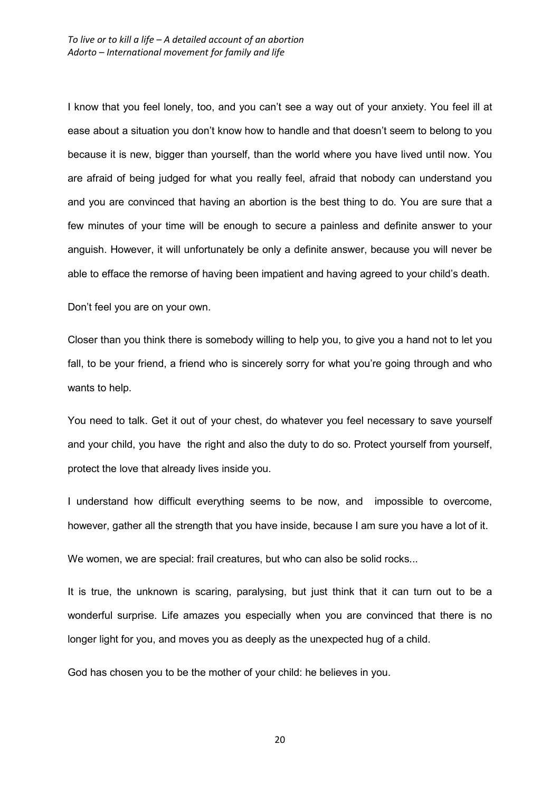I know that you feel lonely, too, and you can't see a way out of your anxiety. You feel ill at ease about a situation you don't know how to handle and that doesn't seem to belong to you because it is new, bigger than yourself, than the world where you have lived until now. You are afraid of being judged for what you really feel, afraid that nobody can understand you and you are convinced that having an abortion is the best thing to do. You are sure that a few minutes of your time will be enough to secure a painless and definite answer to your anguish. However, it will unfortunately be only a definite answer, because you will never be able to efface the remorse of having been impatient and having agreed to your child's death.

Don't feel you are on your own.

Closer than you think there is somebody willing to help you, to give you a hand not to let you fall, to be your friend, a friend who is sincerely sorry for what you're going through and who wants to help.

You need to talk. Get it out of your chest, do whatever you feel necessary to save yourself and your child, you have the right and also the duty to do so. Protect yourself from yourself, protect the love that already lives inside you.

I understand how difficult everything seems to be now, and impossible to overcome, however, gather all the strength that you have inside, because I am sure you have a lot of it.

We women, we are special: frail creatures, but who can also be solid rocks...

It is true, the unknown is scaring, paralysing, but just think that it can turn out to be a wonderful surprise. Life amazes you especially when you are convinced that there is no longer light for you, and moves you as deeply as the unexpected hug of a child.

God has chosen you to be the mother of your child: he believes in you.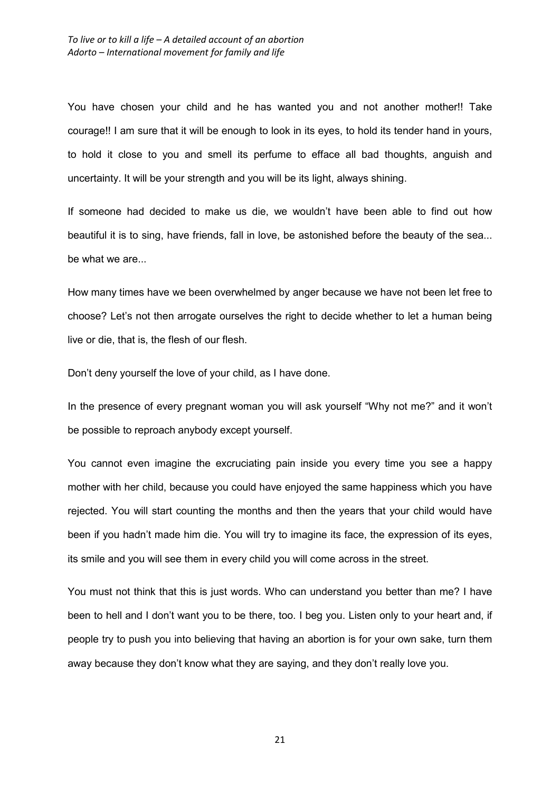You have chosen your child and he has wanted you and not another mother!! Take courage!! I am sure that it will be enough to look in its eyes, to hold its tender hand in yours, to hold it close to you and smell its perfume to efface all bad thoughts, anguish and uncertainty. It will be your strength and you will be its light, always shining.

If someone had decided to make us die, we wouldn't have been able to find out how beautiful it is to sing, have friends, fall in love, be astonished before the beauty of the sea... be what we are...

How many times have we been overwhelmed by anger because we have not been let free to choose? Let's not then arrogate ourselves the right to decide whether to let a human being live or die, that is, the flesh of our flesh.

Don't deny yourself the love of your child, as I have done.

In the presence of every pregnant woman you will ask yourself "Why not me?" and it won't be possible to reproach anybody except yourself.

You cannot even imagine the excruciating pain inside you every time you see a happy mother with her child, because you could have enjoyed the same happiness which you have rejected. You will start counting the months and then the years that your child would have been if you hadn't made him die. You will try to imagine its face, the expression of its eyes, its smile and you will see them in every child you will come across in the street.

You must not think that this is just words. Who can understand you better than me? I have been to hell and I don't want you to be there, too. I beg you. Listen only to your heart and, if people try to push you into believing that having an abortion is for your own sake, turn them away because they don't know what they are saying, and they don't really love you.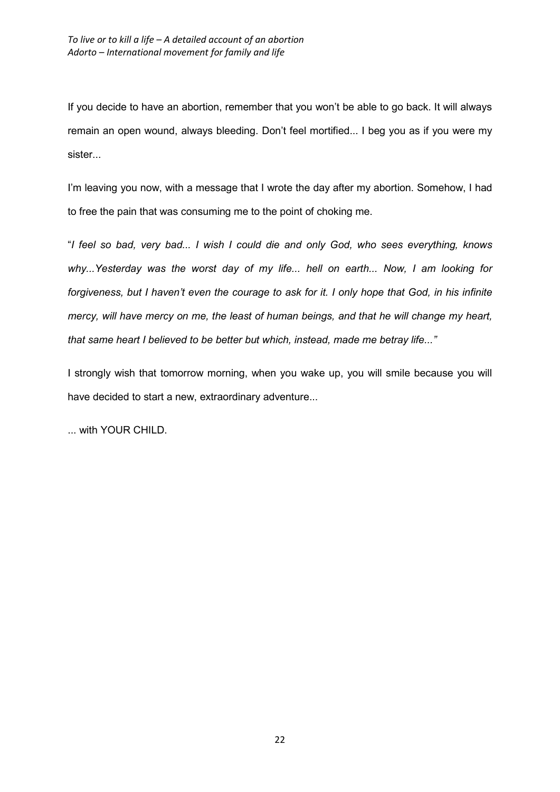If you decide to have an abortion, remember that you won't be able to go back. It will always remain an open wound, always bleeding. Don't feel mortified... I beg you as if you were my sister...

I'm leaving you now, with a message that I wrote the day after my abortion. Somehow, I had to free the pain that was consuming me to the point of choking me.

"*I feel so bad, very bad... I wish I could die and only God, who sees everything, knows why...Yesterday was the worst day of my life... hell on earth... Now, I am looking for forgiveness, but I haven't even the courage to ask for it. I only hope that God, in his infinite mercy, will have mercy on me, the least of human beings, and that he will change my heart, that same heart I believed to be better but which, instead, made me betray life..."* 

I strongly wish that tomorrow morning, when you wake up, you will smile because you will have decided to start a new, extraordinary adventure...

... with YOUR CHILD.